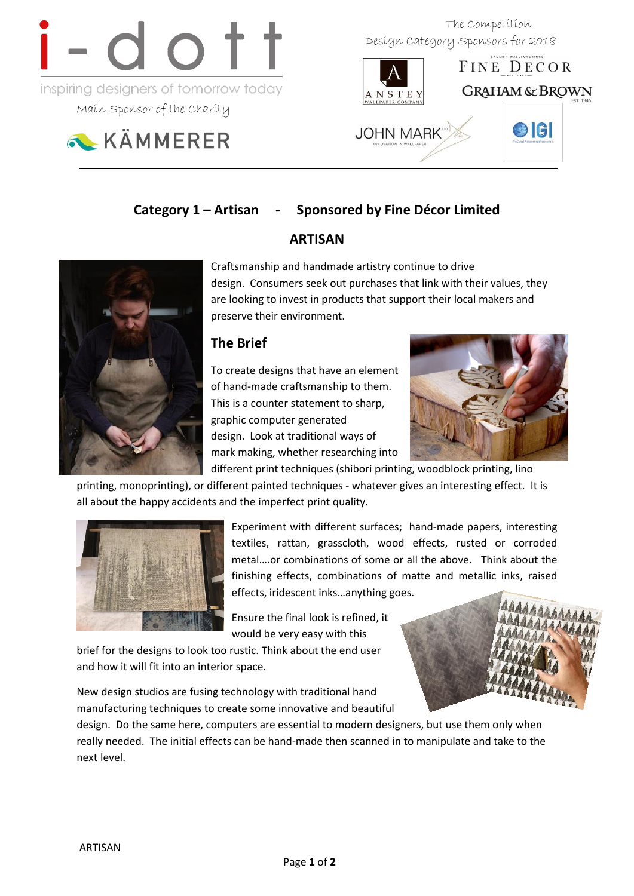

Main Sponsor of the Charity



 The Competition Design Category Sponsors for 2018



# **Category 1 – Artisan - Sponsored by Fine Décor Limited**

# **ARTISAN**

Craftsmanship and handmade artistry continue to drive design. Consumers seek out purchases that link with their values, they are looking to invest in products that support their local makers and preserve their environment.

# **The Brief**

To create designs that have an element of hand-made craftsmanship to them. This is a counter statement to sharp, graphic computer generated design. Look at traditional ways of mark making, whether researching into



different print techniques (shibori printing, woodblock printing, lino printing, monoprinting), or different painted techniques - whatever gives an interesting effect. It is all about the happy accidents and the imperfect print quality.



Experiment with different surfaces; hand-made papers, interesting textiles, rattan, grasscloth, wood effects, rusted or corroded metal….or combinations of some or all the above. Think about the finishing effects, combinations of matte and metallic inks, raised effects, iridescent inks…anything goes.

Ensure the final look is refined, it would be very easy with this

brief for the designs to look too rustic. Think about the end user and how it will fit into an interior space.

New design studios are fusing technology with traditional hand manufacturing techniques to create some innovative and beautiful



design. Do the same here, computers are essential to modern designers, but use them only when really needed. The initial effects can be hand-made then scanned in to manipulate and take to the next level.